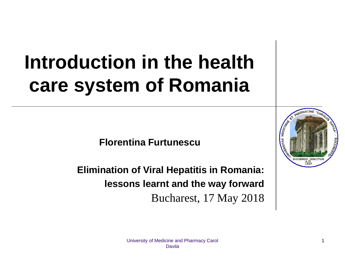# **Introduction in the health care system of Romania**

**Florentina Furtunescu**

**Elimination of Viral Hepatitis in Romania: lessons learnt and the way forward** Bucharest, 17 May 2018



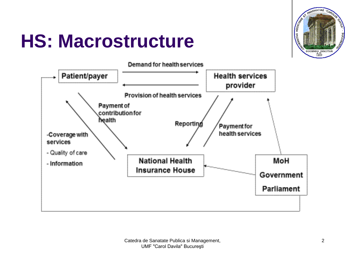

## **HS: Macrostructure**

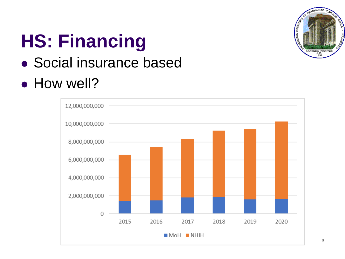

# **HS: Financing**

#### Social insurance based

#### • How well?

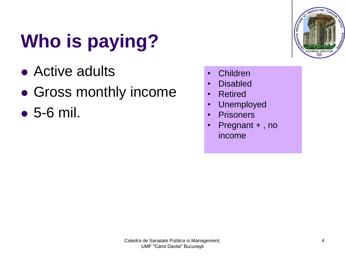# **Who is paying?**

- Active adults
- Gross monthly income
- 5-6 mil.



- Children
- Disabled
- Retired
- Unemployed
- Prisoners
- Pregnant +, no income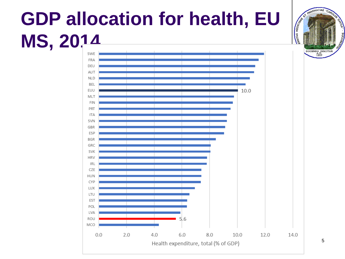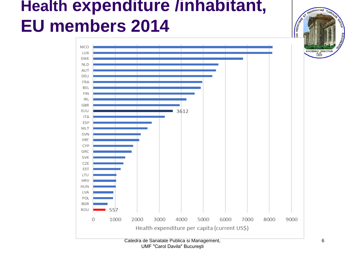

UMF "Carol Davila" Bucureşti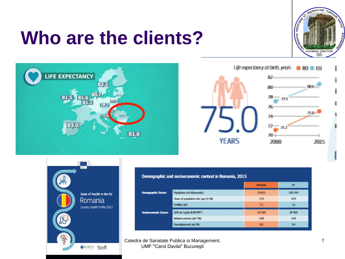### **Who are the clients?**









| emographic and socioeconomic context in Romania, 2015 |                                        |                |         |
|-------------------------------------------------------|----------------------------------------|----------------|---------|
|                                                       |                                        | <b>Romania</b> | E       |
| emographic factors                                    | Population size (thousands)            | 19815          | 509 394 |
|                                                       | Share of population over age 65 (%)    | 170            | 189     |
|                                                       | Fertility rate <sup>1</sup>            | 15             | 16      |
| ocioeconomic factors                                  | GDP per capita (EUR PPP <sup>2</sup> ) | 16500          | 28 900  |
|                                                       | Relative poverty rate <sup>3</sup> (%) | 198            | 108     |
|                                                       | Unemployment rate (%)                  | 68             | 94      |
|                                                       |                                        |                |         |

Catedra de Sanatate Publica si Management, UMF "Carol Davila" Bucureşti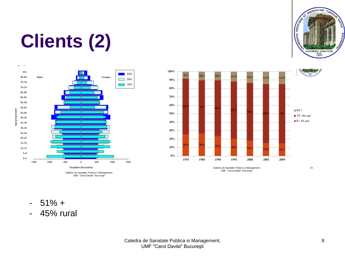

# **Clients (2)**





Catedra de Sanatate Publica si Management, UMF "Carol Davila" București

23

- $-51\% +$
- 45% rural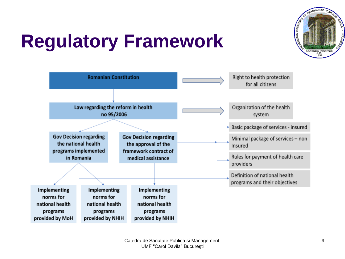

# **Regulatory Framework**

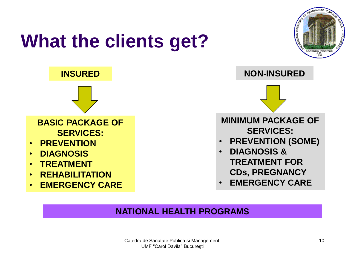

#### **NATIONAL HEALTH PROGRAMS**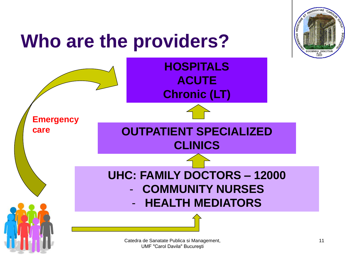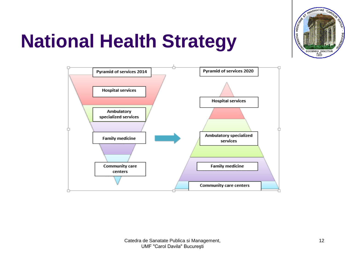

## **National Health Strategy**